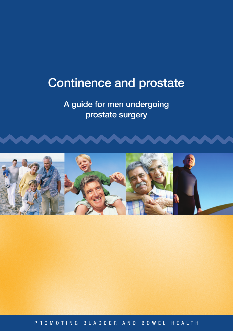# Continence and prostate

# A guide for men undergoing prostate surgery



P R O M O T I N G B L A D D E R A N D B O W E L H E A L T H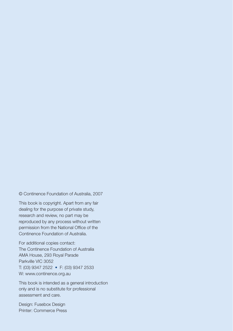© Continence Foundation of Australia, 2007

This book is copyright. Apart from any fair dealing for the purpose of private study, research and review, no part may be reproduced by any process without written permission from the National Office of the Continence Foundation of Australia.

For additional copies contact: The Continence Foundation of Australia AMA House, 293 Royal Parade Parkville VIC 3052 T: (03) 9347 2522 • F: (03) 9347 2533 W: www.continence.org.au

This book is intended as a general introduction only and is no substitute for professional assessment and care.

Design: Fusebox Design Printer: Commerce Press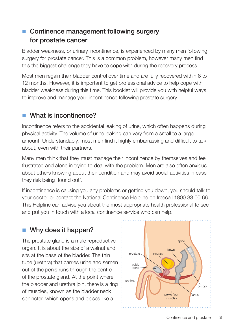# ■ Continence management following surgery for prostate cancer

Bladder weakness, or urinary incontinence, is experienced by many men following surgery for prostate cancer. This is a common problem, however many men find this the biggest challenge they have to cope with during the recovery process.

Most men regain their bladder control over time and are fully recovered within 6 to 12 months. However, it is important to get professional advice to help cope with bladder weakness during this time. This booklet will provide you with helpful ways to improve and manage your incontinence following prostate surgery.

# What is incontinence?

Incontinence refers to the accidental leaking of urine, which often happens during physical activity. The volume of urine leaking can vary from a small to a large amount. Understandably, most men find it highly embarrassing and difficult to talk about, even with their partners.

Many men think that they must manage their incontinence by themselves and feel frustrated and alone in trying to deal with the problem. Men are also often anxious about others knowing about their condition and may avoid social activities in case they risk being 'found out'.

If incontinence is causing you any problems or getting you down, you should talk to your doctor or contact the National Continence Helpline on freecall 1800 33 00 66. This Helpline can advise you about the most appropriate health professional to see and put you in touch with a local continence service who can help.

# $\blacksquare$  Why does it happen?

The prostate gland is a male reproductive organ. It is about the size of a walnut and sits at the base of the bladder. The thin tube (urethra) that carries urine and semen out of the penis runs through the centre of the prostate gland. At the point where the bladder and urethra join, there is a ring of muscles, known as the bladder neck sphincter, which opens and closes like a

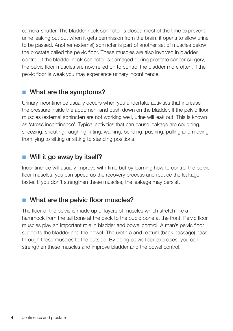camera-shutter. The bladder neck sphincter is closed most of the time to prevent urine leaking out but when it gets permission from the brain, it opens to allow urine to be passed. Another (external) sphincter is part of another set of muscles below the prostate called the pelvic floor. These muscles are also involved in bladder control. If the bladder neck sphincter is damaged during prostate cancer surgery, the pelvic floor muscles are now relied on to control the bladder more often. If the pelvic floor is weak you may experience urinary incontinence.

# $\blacksquare$  What are the symptoms?

Urinary incontinence usually occurs when you undertake activities that increase the pressure inside the abdomen, and push down on the bladder. If the pelvic floor muscles (external sphincter) are not working well, urine will leak out. This is known as 'stress incontinence'. Typical activities that can cause leakage are coughing, sneezing, shouting, laughing, lifting, walking, bending, pushing, pulling and moving from lying to sitting or sitting to standing positions.

# $\blacksquare$  Will it go away by itself?

Incontinence will usually improve with time but by learning how to control the pelvic floor muscles, you can speed up the recovery process and reduce the leakage faster. If you don't strengthen these muscles, the leakage may persist.

# What are the pelvic floor muscles?

The floor of the pelvis is made up of layers of muscles which stretch like a hammock from the tail bone at the back to the pubic bone at the front. Pelvic floor muscles play an important role in bladder and bowel control. A man's pelvic floor supports the bladder and the bowel. The urethra and rectum (back passage) pass through these muscles to the outside. By doing pelvic floor exercises, you can strengthen these muscles and improve bladder and the bowel control.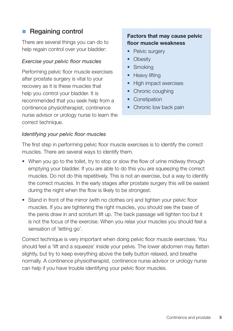# ■ Regaining control

There are several things you can do to help regain control over your bladder:

#### *Exercise your pelvic floor muscles*

Performing pelvic floor muscle exercises after prostate surgery is vital to your recovery as it is these muscles that help you control your bladder. It is recommended that you seek help from a continence physiotherapist, continence nurse advisor or urology nurse to learn the correct technique.

### **Factors that may cause pelvic floor muscle weakness**

- Pelvic surgery
- Obesity
- Smoking
- Heavy lifting
- High impact exercises
- Chronic coughing
- Constipation
- Chronic low back pain

#### *Identifying your pelvic floor muscles*

The first step in performing pelvic floor muscle exercises is to identify the correct muscles. There are several ways to identify them.

- When you go to the toilet, try to stop or slow the flow of urine midway through emptying your bladder. If you are able to do this you are squeezing the correct muscles. Do not do this repetitively. This is not an exercise, but a way to identify the correct muscles. In the early stages after prostate surgery this will be easiest during the night when the flow is likely to be strongest.
- Stand in front of the mirror (with no clothes on) and tighten your pelvic floor muscles. If you are tightening the right muscles, you should see the base of the penis draw in and scrotum lift up. The back passage will tighten too but it is not the focus of the exercise. When you relax your muscles you should feel a sensation of 'letting go'.

Correct technique is very important when doing pelvic floor muscle exercises. You should feel a 'lift and a squeeze' inside your pelvis. The lower abdomen may flatten slightly, but try to keep everything above the belly button relaxed, and breathe normally. A continence physiotherapist, continence nurse advisor or urology nurse can help if you have trouble identifying your pelvic floor muscles.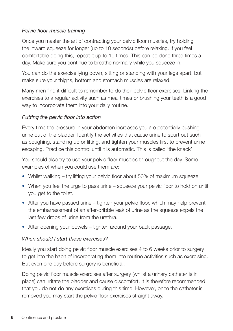### *Pelvic floor muscle training*

Once you master the art of contracting your pelvic floor muscles, try holding the inward squeeze for longer (up to 10 seconds) before relaxing. If you feel comfortable doing this, repeat it up to 10 times. This can be done three times a day. Make sure you continue to breathe normally while you squeeze in.

You can do the exercise lying down, sitting or standing with your legs apart, but make sure your thighs, bottom and stomach muscles are relaxed.

Many men find it difficult to remember to do their pelvic floor exercises. Linking the exercises to a regular activity such as meal times or brushing your teeth is a good way to incorporate them into your daily routine.

### *Putting the pelvic floor into action*

Every time the pressure in your abdomen increases you are potentially pushing urine out of the bladder. Identify the activities that cause urine to spurt out such as coughing, standing up or lifting, and tighten your muscles first to prevent urine escaping. Practice this control until it is automatic. This is called 'the knack'.

You should also try to use your pelvic floor muscles throughout the day. Some examples of when you could use them are:

- Whilst walking try lifting your pelvic floor about 50% of maximum squeeze.
- When you feel the urge to pass urine squeeze your pelvic floor to hold on until you get to the toilet.
- After you have passed urine tighten your pelvic floor, which may help prevent the embarrassment of an after-dribble leak of urine as the squeeze expels the last few drops of urine from the urethra.
- After opening your bowels tighten around your back passage.

### *When should I start these exercises?*

Ideally you start doing pelvic floor muscle exercises 4 to 6 weeks prior to surgery to get into the habit of incorporating them into routine activities such as exercising. But even one day before surgery is beneficial.

Doing pelvic floor muscle exercises after surgery (whilst a urinary catheter is in place) can irritate the bladder and cause discomfort. It is therefore recommended that you do not do any exercises during this time. However, once the catheter is removed you may start the pelvic floor exercises straight away.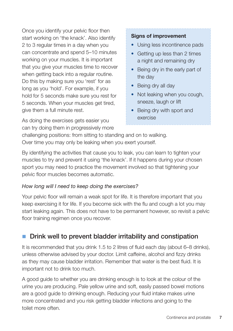Once you identify your pelvic floor then start working on 'the knack'. Also identify 2 to 3 regular times in a day when you can concentrate and spend 5–10 minutes working on your muscles. It is important that you give your muscles time to recover when getting back into a regular routine. Do this by making sure you 'rest' for as long as you 'hold'. For example, if you hold for 5 seconds make sure you rest for 5 seconds. When your muscles get tired, give them a full minute rest.

As doing the exercises gets easier you can try doing them in progressively more

### **Signs of improvement**

- Using less incontinence pads
- Getting up less than 2 times a night and remaining dry
- Being dry in the early part of the day
- Being dry all day
- Not leaking when you cough, sneeze, laugh or lift
- Being dry with sport and exercise

challenging positions: from sitting to standing and on to walking. Over time you may only be leaking when you exert yourself.

By identifying the activities that cause you to leak, you can learn to tighten your muscles to try and prevent it using 'the knack'. If it happens during your chosen sport you may need to practice the movement involved so that tightening your pelvic floor muscles becomes automatic.

### *How long will I need to keep doing the exercises?*

Your pelvic floor will remain a weak spot for life. It is therefore important that you keep exercising it for life. If you become sick with the flu and cough a lot you may start leaking again. This does not have to be permanent however, so revisit a pelvic floor training regimen once you recover.

# Drink well to prevent bladder irritability and constipation

It is recommended that you drink 1.5 to 2 litres of fluid each day (about 6–8 drinks), unless otherwise advised by your doctor. Limit caffeine, alcohol and fizzy drinks as they may cause bladder irritation. Remember that water is the best fluid. It is important not to drink too much.

A good guide to whether you are drinking enough is to look at the colour of the urine you are producing. Pale yellow urine and soft, easily passed bowel motions are a good guide to drinking enough. Reducing your fluid intake makes urine more concentrated and you risk getting bladder infections and going to the toilet more often.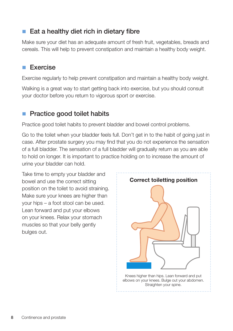# $\blacksquare$  Eat a healthy diet rich in dietary fibre

Make sure your diet has an adequate amount of fresh fruit, vegetables, breads and cereals. This will help to prevent constipation and maintain a healthy body weight.

# n Exercise

Exercise regularly to help prevent constipation and maintain a healthy body weight.

Walking is a great way to start getting back into exercise, but you should consult your doctor before you return to vigorous sport or exercise.

# Practice good toilet habits

Practice good toilet habits to prevent bladder and bowel control problems.

Go to the toilet when your bladder feels full. Don't get in to the habit of going just in case. After prostate surgery you may find that you do not experience the sensation of a full bladder. The sensation of a full bladder will gradually return as you are able to hold on longer. It is important to practice holding on to increase the amount of urine your bladder can hold.

Take time to empty your bladder and bowel and use the correct sitting position on the toilet to avoid straining. Make sure your knees are higher than your hips – a foot stool can be used. Lean forward and put your elbows on your knees. Relax your stomach muscles so that your belly gently bulges out.

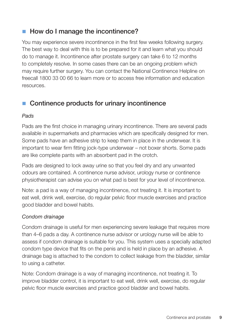# ■ How do I manage the incontinence?

You may experience severe incontinence in the first few weeks following surgery. The best way to deal with this is to be prepared for it and learn what you should do to manage it. Incontinence after prostate surgery can take 6 to 12 months to completely resolve. In some cases there can be an ongoing problem which may require further surgery. You can contact the National Continence Helpline on freecall 1800 33 00 66 to learn more or to access free information and education resources.

# $\blacksquare$  Continence products for urinary incontinence

### *Pads*

Pads are the first choice in managing urinary incontinence. There are several pads available in supermarkets and pharmacies which are specifically designed for men. Some pads have an adhesive strip to keep them in place in the underwear. It is important to wear firm fitting jock-type underwear – not boxer shorts. Some pads are like complete pants with an absorbent pad in the crotch.

Pads are designed to lock away urine so that you feel dry and any unwanted odours are contained. A continence nurse advisor, urology nurse or continence physiotherapist can advise you on what pad is best for your level of incontinence.

Note: a pad is a way of managing incontinence, not treating it. It is important to eat well, drink well, exercise, do regular pelvic floor muscle exercises and practice good bladder and bowel habits.

### *Condom drainage*

Condom drainage is useful for men experiencing severe leakage that requires more than 4–6 pads a day. A continence nurse advisor or urology nurse will be able to assess if condom drainage is suitable for you. This system uses a specially adapted condom type device that fits on the penis and is held in place by an adhesive. A drainage bag is attached to the condom to collect leakage from the bladder, similar to using a catheter.

Note: Condom drainage is a way of managing incontinence, not treating it. To improve bladder control, it is important to eat well, drink well, exercise, do regular pelvic floor muscle exercises and practice good bladder and bowel habits.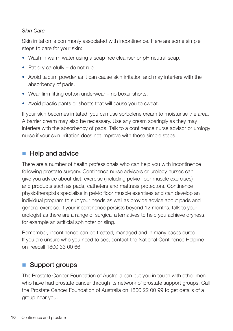### *Skin Care*

Skin irritation is commonly associated with incontinence. Here are some simple steps to care for your skin:

- Wash in warm water using a soap free cleanser or pH neutral soap.
- Pat dry carefully do not rub.
- Avoid talcum powder as it can cause skin irritation and may interfere with the absorbency of pads.
- Wear firm fitting cotton underwear no boxer shorts.
- Avoid plastic pants or sheets that will cause you to sweat.

If your skin becomes irritated, you can use sorbolene cream to moisturise the area. A barrier cream may also be necessary. Use any cream sparingly as they may interfere with the absorbency of pads. Talk to a continence nurse advisor or urology nurse if your skin irritation does not improve with these simple steps.

# $\blacksquare$  Help and advice

There are a number of health professionals who can help you with incontinence following prostate surgery. Continence nurse advisors or urology nurses can give you advice about diet, exercise (including pelvic floor muscle exercises) and products such as pads, catheters and mattress protectors. Continence physiotherapists specialise in pelvic floor muscle exercises and can develop an individual program to suit your needs as well as provide advice about pads and general exercise. If your incontinence persists beyond 12 months, talk to your urologist as there are a range of surgical alternatives to help you achieve dryness, for example an artificial sphincter or sling.

Remember, incontinence can be treated, managed and in many cases cured. If you are unsure who you need to see, contact the National Continence Helpline on freecall 1800 33 00 66.

# ■ Support groups

The Prostate Cancer Foundation of Australia can put you in touch with other men who have had prostate cancer through its network of prostate support groups. Call the Prostate Cancer Foundation of Australia on 1800 22 00 99 to get details of a group near you.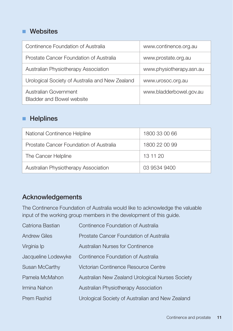# **Nebsites**

| Continence Foundation of Australia                        | www.continence.org.au    |
|-----------------------------------------------------------|--------------------------|
| Prostate Cancer Foundation of Australia                   | www.prostate.org.au      |
| Australian Physiotherapy Association                      | www.physiotherapy.asn.au |
| Urological Society of Australia and New Zealand           | www.urosoc.org.au        |
| Australian Government<br><b>Bladder and Bowel website</b> | www.bladderbowel.gov.au  |

# **n** Helplines

| National Continence Helpline            | 1800 33 00 66 |
|-----------------------------------------|---------------|
| Prostate Cancer Foundation of Australia | 1800 22 00 99 |
| The Cancer Helpline                     | 13 11 20      |
| Australian Physiotherapy Association    | 03 9534 9400  |

# Acknowledgements

The Continence Foundation of Australia would like to acknowledge the valuable input of the working group members in the development of this guide.

| Catriona Bastian    | Continence Foundation of Australia               |
|---------------------|--------------------------------------------------|
| <b>Andrew Giles</b> | Prostate Cancer Foundation of Australia          |
| Virginia Ip         | Australian Nurses for Continence                 |
| Jacqueline Lodewyke | Continence Foundation of Australia               |
| Susan McCarthy      | Victorian Continence Resource Centre             |
| Pamela McMahon      | Australian New Zealand Urological Nurses Society |
| Irmina Nahon        | Australian Physiotherapy Association             |
| Prem Rashid         | Urological Society of Australian and New Zealand |